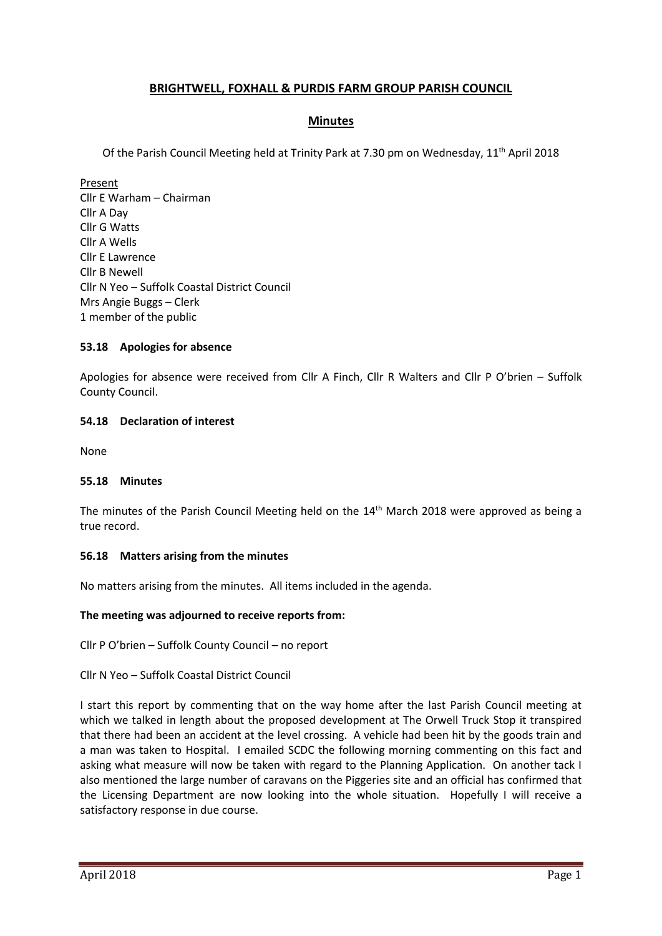# **BRIGHTWELL, FOXHALL & PURDIS FARM GROUP PARISH COUNCIL**

# **Minutes**

Of the Parish Council Meeting held at Trinity Park at 7.30 pm on Wednesday, 11<sup>th</sup> April 2018

Present Cllr E Warham – Chairman Cllr A Day Cllr G Watts Cllr A Wells Cllr E Lawrence Cllr B Newell Cllr N Yeo – Suffolk Coastal District Council Mrs Angie Buggs – Clerk 1 member of the public

# **53.18 Apologies for absence**

Apologies for absence were received from Cllr A Finch, Cllr R Walters and Cllr P O'brien – Suffolk County Council.

### **54.18 Declaration of interest**

None

#### **55.18 Minutes**

The minutes of the Parish Council Meeting held on the 14<sup>th</sup> March 2018 were approved as being a true record.

#### **56.18 Matters arising from the minutes**

No matters arising from the minutes. All items included in the agenda.

#### **The meeting was adjourned to receive reports from:**

Cllr P O'brien – Suffolk County Council – no report

#### Cllr N Yeo – Suffolk Coastal District Council

I start this report by commenting that on the way home after the last Parish Council meeting at which we talked in length about the proposed development at The Orwell Truck Stop it transpired that there had been an accident at the level crossing. A vehicle had been hit by the goods train and a man was taken to Hospital. I emailed SCDC the following morning commenting on this fact and asking what measure will now be taken with regard to the Planning Application. On another tack I also mentioned the large number of caravans on the Piggeries site and an official has confirmed that the Licensing Department are now looking into the whole situation. Hopefully I will receive a satisfactory response in due course.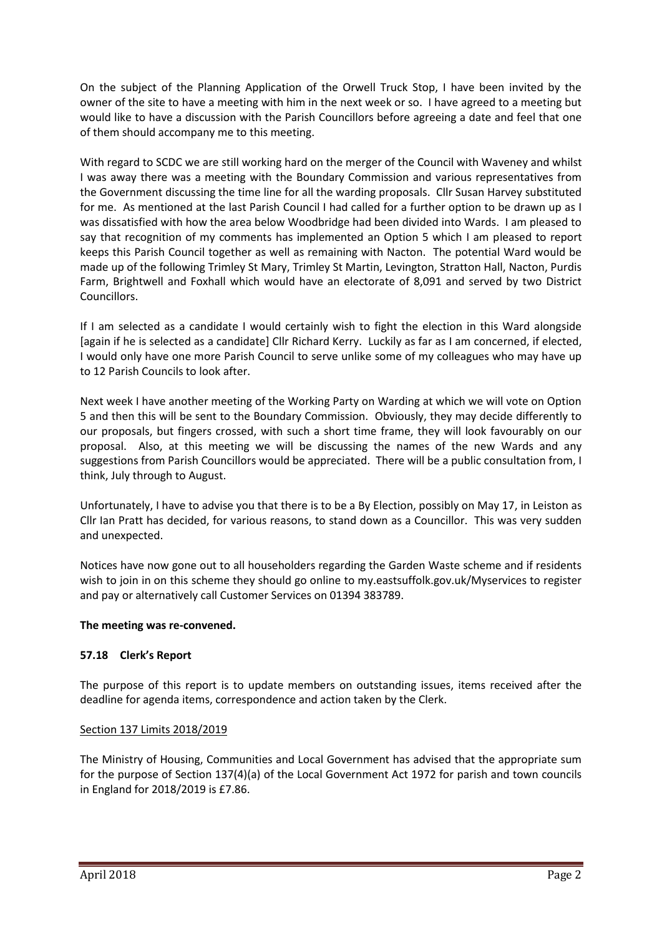On the subject of the Planning Application of the Orwell Truck Stop, I have been invited by the owner of the site to have a meeting with him in the next week or so. I have agreed to a meeting but would like to have a discussion with the Parish Councillors before agreeing a date and feel that one of them should accompany me to this meeting.

With regard to SCDC we are still working hard on the merger of the Council with Waveney and whilst I was away there was a meeting with the Boundary Commission and various representatives from the Government discussing the time line for all the warding proposals. Cllr Susan Harvey substituted for me. As mentioned at the last Parish Council I had called for a further option to be drawn up as I was dissatisfied with how the area below Woodbridge had been divided into Wards. I am pleased to say that recognition of my comments has implemented an Option 5 which I am pleased to report keeps this Parish Council together as well as remaining with Nacton. The potential Ward would be made up of the following Trimley St Mary, Trimley St Martin, Levington, Stratton Hall, Nacton, Purdis Farm, Brightwell and Foxhall which would have an electorate of 8,091 and served by two District Councillors.

If I am selected as a candidate I would certainly wish to fight the election in this Ward alongside [again if he is selected as a candidate] Cllr Richard Kerry. Luckily as far as I am concerned, if elected, I would only have one more Parish Council to serve unlike some of my colleagues who may have up to 12 Parish Councils to look after.

Next week I have another meeting of the Working Party on Warding at which we will vote on Option 5 and then this will be sent to the Boundary Commission. Obviously, they may decide differently to our proposals, but fingers crossed, with such a short time frame, they will look favourably on our proposal. Also, at this meeting we will be discussing the names of the new Wards and any suggestions from Parish Councillors would be appreciated. There will be a public consultation from, I think, July through to August.

Unfortunately, I have to advise you that there is to be a By Election, possibly on May 17, in Leiston as Cllr Ian Pratt has decided, for various reasons, to stand down as a Councillor. This was very sudden and unexpected.

Notices have now gone out to all householders regarding the Garden Waste scheme and if residents wish to join in on this scheme they should go online to my.eastsuffolk.gov.uk/Myservices to register and pay or alternatively call Customer Services on 01394 383789.

# **The meeting was re-convened.**

# **57.18 Clerk's Report**

The purpose of this report is to update members on outstanding issues, items received after the deadline for agenda items, correspondence and action taken by the Clerk.

# Section 137 Limits 2018/2019

The Ministry of Housing, Communities and Local Government has advised that the appropriate sum for the purpose of Section 137(4)(a) of the Local Government Act 1972 for parish and town councils in England for 2018/2019 is £7.86.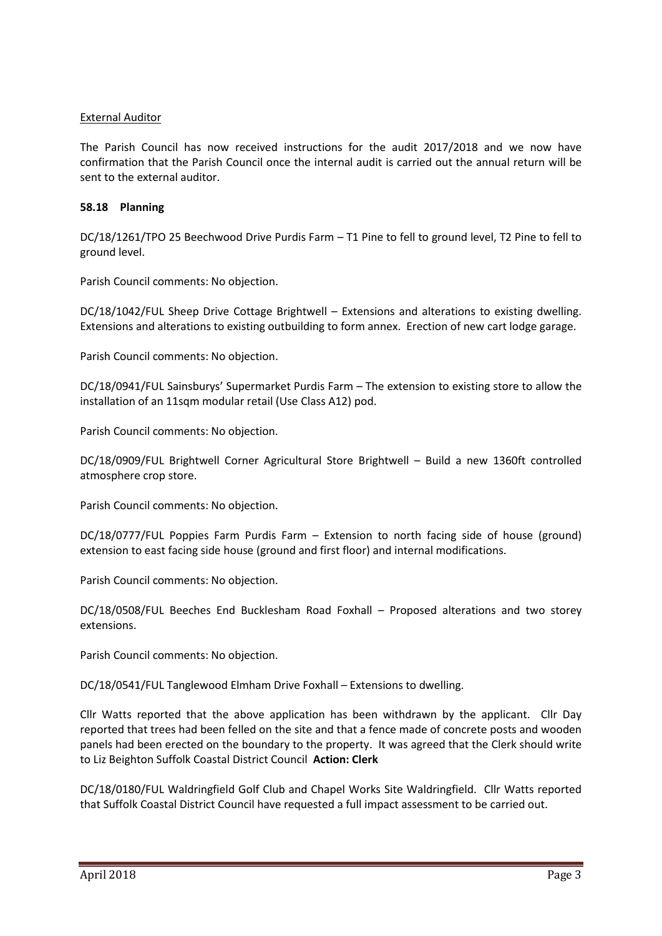### External Auditor

The Parish Council has now received instructions for the audit 2017/2018 and we now have confirmation that the Parish Council once the internal audit is carried out the annual return will be sent to the external auditor.

### **58.18 Planning**

DC/18/1261/TPO 25 Beechwood Drive Purdis Farm – T1 Pine to fell to ground level, T2 Pine to fell to ground level.

Parish Council comments: No objection.

DC/18/1042/FUL Sheep Drive Cottage Brightwell – Extensions and alterations to existing dwelling. Extensions and alterations to existing outbuilding to form annex. Erection of new cart lodge garage.

Parish Council comments: No objection.

DC/18/0941/FUL Sainsburys' Supermarket Purdis Farm – The extension to existing store to allow the installation of an 11sqm modular retail (Use Class A12) pod.

Parish Council comments: No objection.

DC/18/0909/FUL Brightwell Corner Agricultural Store Brightwell – Build a new 1360ft controlled atmosphere crop store.

Parish Council comments: No objection.

DC/18/0777/FUL Poppies Farm Purdis Farm – Extension to north facing side of house (ground) extension to east facing side house (ground and first floor) and internal modifications.

Parish Council comments: No objection.

DC/18/0508/FUL Beeches End Bucklesham Road Foxhall – Proposed alterations and two storey extensions.

Parish Council comments: No objection.

DC/18/0541/FUL Tanglewood Elmham Drive Foxhall – Extensions to dwelling.

Cllr Watts reported that the above application has been withdrawn by the applicant. Cllr Day reported that trees had been felled on the site and that a fence made of concrete posts and wooden panels had been erected on the boundary to the property. It was agreed that the Clerk should write to Liz Beighton Suffolk Coastal District Council **Action: Clerk**

DC/18/0180/FUL Waldringfield Golf Club and Chapel Works Site Waldringfield. Cllr Watts reported that Suffolk Coastal District Council have requested a full impact assessment to be carried out.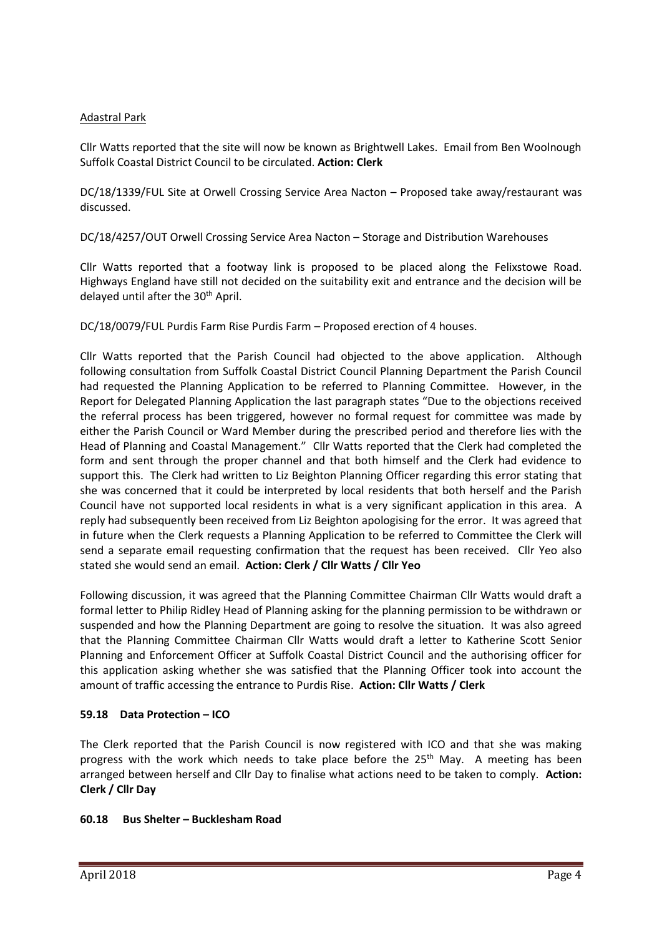# Adastral Park

Cllr Watts reported that the site will now be known as Brightwell Lakes. Email from Ben Woolnough Suffolk Coastal District Council to be circulated. **Action: Clerk**

DC/18/1339/FUL Site at Orwell Crossing Service Area Nacton – Proposed take away/restaurant was discussed.

DC/18/4257/OUT Orwell Crossing Service Area Nacton – Storage and Distribution Warehouses

Cllr Watts reported that a footway link is proposed to be placed along the Felixstowe Road. Highways England have still not decided on the suitability exit and entrance and the decision will be delayed until after the 30<sup>th</sup> April.

DC/18/0079/FUL Purdis Farm Rise Purdis Farm – Proposed erection of 4 houses.

Cllr Watts reported that the Parish Council had objected to the above application. Although following consultation from Suffolk Coastal District Council Planning Department the Parish Council had requested the Planning Application to be referred to Planning Committee. However, in the Report for Delegated Planning Application the last paragraph states "Due to the objections received the referral process has been triggered, however no formal request for committee was made by either the Parish Council or Ward Member during the prescribed period and therefore lies with the Head of Planning and Coastal Management." Cllr Watts reported that the Clerk had completed the form and sent through the proper channel and that both himself and the Clerk had evidence to support this. The Clerk had written to Liz Beighton Planning Officer regarding this error stating that she was concerned that it could be interpreted by local residents that both herself and the Parish Council have not supported local residents in what is a very significant application in this area. A reply had subsequently been received from Liz Beighton apologising for the error. It was agreed that in future when the Clerk requests a Planning Application to be referred to Committee the Clerk will send a separate email requesting confirmation that the request has been received. Cllr Yeo also stated she would send an email. **Action: Clerk / Cllr Watts / Cllr Yeo**

Following discussion, it was agreed that the Planning Committee Chairman Cllr Watts would draft a formal letter to Philip Ridley Head of Planning asking for the planning permission to be withdrawn or suspended and how the Planning Department are going to resolve the situation. It was also agreed that the Planning Committee Chairman Cllr Watts would draft a letter to Katherine Scott Senior Planning and Enforcement Officer at Suffolk Coastal District Council and the authorising officer for this application asking whether she was satisfied that the Planning Officer took into account the amount of traffic accessing the entrance to Purdis Rise. **Action: Cllr Watts / Clerk**

# **59.18 Data Protection – ICO**

The Clerk reported that the Parish Council is now registered with ICO and that she was making progress with the work which needs to take place before the 25<sup>th</sup> May. A meeting has been arranged between herself and Cllr Day to finalise what actions need to be taken to comply. **Action: Clerk / Cllr Day**

# **60.18 Bus Shelter – Bucklesham Road**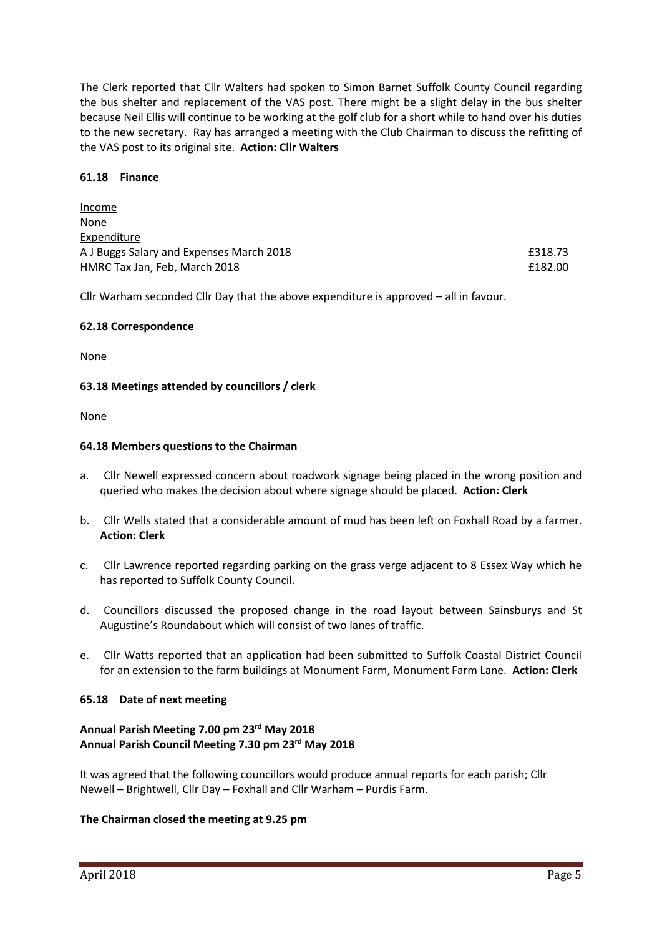The Clerk reported that Cllr Walters had spoken to Simon Barnet Suffolk County Council regarding the bus shelter and replacement of the VAS post. There might be a slight delay in the bus shelter because Neil Ellis will continue to be working at the golf club for a short while to hand over his duties to the new secretary. Ray has arranged a meeting with the Club Chairman to discuss the refitting of the VAS post to its original site. **Action: Cllr Walters**

#### **61.18 Finance**

Income

| £318.73 |  |
|---------|--|
| £182.00 |  |
|         |  |

Cllr Warham seconded Cllr Day that the above expenditure is approved – all in favour.

### **62.18 Correspondence**

None

### **63.18 Meetings attended by councillors / clerk**

None

### **64.18 Members questions to the Chairman**

- a. Cllr Newell expressed concern about roadwork signage being placed in the wrong position and queried who makes the decision about where signage should be placed. **Action: Clerk**
- b. Cllr Wells stated that a considerable amount of mud has been left on Foxhall Road by a farmer. **Action: Clerk**
- c. Cllr Lawrence reported regarding parking on the grass verge adjacent to 8 Essex Way which he has reported to Suffolk County Council.
- d. Councillors discussed the proposed change in the road layout between Sainsburys and St Augustine's Roundabout which will consist of two lanes of traffic.
- e. Cllr Watts reported that an application had been submitted to Suffolk Coastal District Council for an extension to the farm buildings at Monument Farm, Monument Farm Lane. **Action: Clerk**

# **65.18 Date of next meeting**

### **Annual Parish Meeting 7.00 pm 23rd May 2018 Annual Parish Council Meeting 7.30 pm 23rd May 2018**

It was agreed that the following councillors would produce annual reports for each parish; Cllr Newell – Brightwell, Cllr Day – Foxhall and Cllr Warham – Purdis Farm.

#### **The Chairman closed the meeting at 9.25 pm**